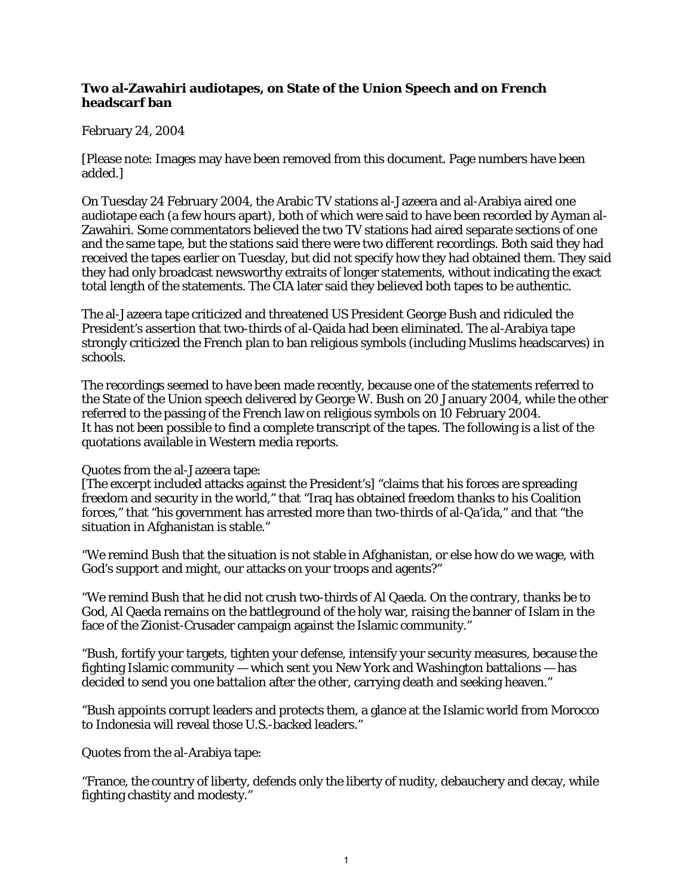## **Two al-Zawahiri audiotapes, on State of the Union Speech and on French headscarf ban**

## February 24, 2004

[Please note: Images may have been removed from this document. Page numbers have been added.]

On Tuesday 24 February 2004, the Arabic TV stations al-Jazeera and al-Arabiya aired one audiotape each (a few hours apart), both of which were said to have been recorded by Ayman al-Zawahiri. Some commentators believed the two TV stations had aired separate sections of one and the same tape, but the stations said there were two different recordings. Both said they had received the tapes earlier on Tuesday, but did not specify how they had obtained them. They said they had only broadcast newsworthy extraits of longer statements, without indicating the exact total length of the statements. The CIA later said they believed both tapes to be authentic.

The al-Jazeera tape criticized and threatened US President George Bush and ridiculed the President's assertion that two-thirds of al-Qaida had been eliminated. The al-Arabiya tape strongly criticized the French plan to ban religious symbols (including Muslims headscarves) in schools.

The recordings seemed to have been made recently, because one of the statements referred to the State of the Union speech delivered by George W. Bush on 20 January 2004, while the other referred to the passing of the French law on religious symbols on 10 February 2004. It has not been possible to find a complete transcript of the tapes. The following is a list of the quotations available in Western media reports.

## Quotes from the al-Jazeera tape:

[The excerpt included attacks against the President's] "claims that his forces are spreading freedom and security in the world," that "Iraq has obtained freedom thanks to his Coalition forces," that "his government has arrested more than two-thirds of al-Qa'ida," and that "the situation in Afghanistan is stable."

"We remind Bush that the situation is not stable in Afghanistan, or else how do we wage, with God's support and might, our attacks on your troops and agents?"

"We remind Bush that he did not crush two-thirds of Al Qaeda. On the contrary, thanks be to God, Al Qaeda remains on the battleground of the holy war, raising the banner of Islam in the face of the Zionist-Crusader campaign against the Islamic community."

"Bush, fortify your targets, tighten your defense, intensify your security measures, because the fighting Islamic community — which sent you New York and Washington battalions — has decided to send you one battalion after the other, carrying death and seeking heaven."

"Bush appoints corrupt leaders and protects them, a glance at the Islamic world from Morocco to Indonesia will reveal those U.S.-backed leaders."

Quotes from the al-Arabiya tape:

"France, the country of liberty, defends only the liberty of nudity, debauchery and decay, while fighting chastity and modesty."